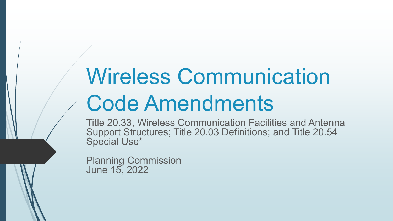# Wireless Communication Code Amendments

Title 20.33, Wireless Communication Facilities and Antenna Support Structures; Title 20.03 Definitions; and Title 20.54 Special Use\*

Planning Commission June 15, 2022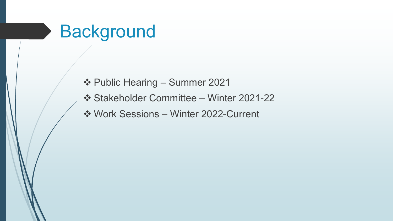### **Background**

- Public Hearing Summer 2021
- Stakeholder Committee Winter 2021-22
- Work Sessions Winter 2022-Current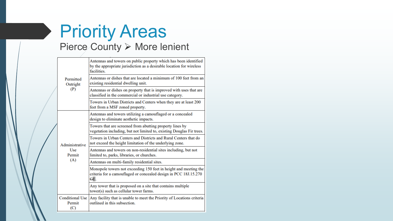### Priority Areas Pierce County > More lenient

| Permitted<br>Outright<br>(P)                  | Antennas and towers on public property which has been identified<br>by the appropriate jurisdiction as a desirable location for wireless<br>facilities. |
|-----------------------------------------------|---------------------------------------------------------------------------------------------------------------------------------------------------------|
|                                               | Antennas or dishes that are located a minimum of 100 feet from an<br>existing residential dwelling unit.                                                |
|                                               | Antennas or dishes on property that is improved with uses that are<br>classified in the commercial or industrial use category.                          |
|                                               | Towers in Urban Districts and Centers when they are at least 200<br>feet from a MSF zoned property.                                                     |
| Administrative<br><b>Use</b><br>Permit<br>(A) | Antennas and towers utilizing a camouflaged or a concealed<br>design to eliminate aesthetic impacts.                                                    |
|                                               | Towers that are screened from abutting property lines by<br>vegetation including, but not limited to, existing Douglas Fir trees.                       |
|                                               | Towers in Urban Centers and Districts and Rural Centers that do<br>not exceed the height limitation of the underlying zone.                             |
|                                               | Antennas and towers on non-residential sites including, but not<br>limited to, parks, libraries, or churches.                                           |
|                                               | Antennas on multi-family residential sites.                                                                                                             |
|                                               | Monopole towers not exceeding 150 feet in height and meeting the<br>criteria for a camouflaged or concealed design in PCC 18J.15.270<br>GE.             |
|                                               | Any tower that is proposed on a site that contains multiple<br>tower(s) such as cellular tower farms.                                                   |
| <b>Conditional Use</b><br>Permit<br>(C)       | Any facility that is unable to meet the Priority of Locations criteria<br>outlined in this subsection.                                                  |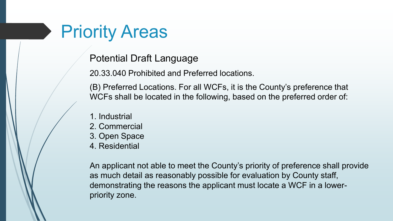### Priority Areas

Potential Draft Language

20.33.040 Prohibited and Preferred locations.

(B) Preferred Locations. For all WCFs, it is the County's preference that WCFs shall be located in the following, based on the preferred order of:

- 1. Industrial
- 2. Commercial
- 3. Open Space
- 4. Residential

An applicant not able to meet the County's priority of preference shall provide as much detail as reasonably possible for evaluation by County staff, demonstrating the reasons the applicant must locate a WCF in a lowerpriority zone.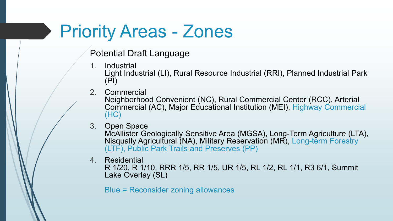### Priority Areas - Zones

Potential Draft Language

- 1. Industrial Light Industrial (LI), Rural Resource Industrial (RRI), Planned Industrial Park (PI)
- 2. Commercial

Neighborhood Convenient (NC), Rural Commercial Center (RCC), Arterial Commercial (AC), Major Educational Institution (MEI), Highway Commercial (HC)

- 3. Open Space McAllister Geologically Sensitive Area (MGSA), Long-Term Agriculture (LTA), Nisqually Agricultural (NA), Military Reservation (MR), Long-term Forestry (LTF), Public Park Trails and Preserves (PP)
- 4. Residential

R 1/20, R 1/10, RRR 1/5, RR 1/5, UR 1/5, RL 1/2, RL 1/1, R3 6/1, Summit Lake Overlay (SL)

Blue = Reconsider zoning allowances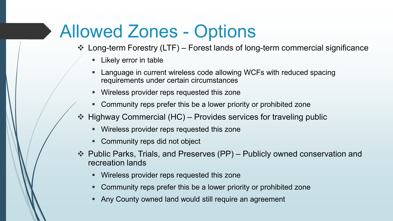## Allowed Zones - Options

Long-term Forestry (LTF) – Forest lands of long-term commercial significance

- **Likely error in table**
- Language in current wireless code allowing WCFs with reduced spacing requirements under certain circumstances
- Wireless provider reps requested this zone
- Community reps prefer this be a lower priority or prohibited zone
- Highway Commercial (HC) Provides services for traveling public
	- Wireless provider reps requested this zone
	- Community reps did not object
- Public Parks, Trials, and Preserves (PP) Publicly owned conservation and recreation lands
	- Wireless provider reps requested this zone
	- Community reps prefer this be a lower priority or prohibited zone
	- Any County owned land would still require an agreement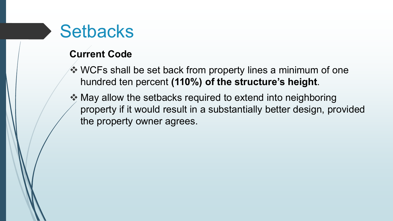#### **Current Code**

- **♦ WCFs shall be set back from property lines a minimum of one** hundred ten percent **(110%) of the structure's height**.
- **★ May allow the setbacks required to extend into neighboring** property if it would result in a substantially better design, provided the property owner agrees.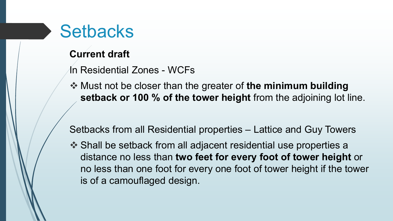#### **Current draft**

- In Residential Zones WCFs
- Must not be closer than the greater of **the minimum building setback or 100 % of the tower height** from the adjoining lot line.

Setbacks from all Residential properties – Lattice and Guy Towers

 Shall be setback from all adjacent residential use properties a distance no less than **two feet for every foot of tower height** or no less than one foot for every one foot of tower height if the tower is of a camouflaged design.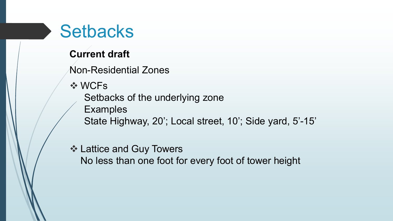#### **Current draft**

Non-Residential Zones

**❖ WCFs** 

Setbacks of the underlying zone

Examples

State Highway, 20'; Local street, 10'; Side yard, 5'-15'

#### **❖ Lattice and Guy Towers**

No less than one foot for every foot of tower height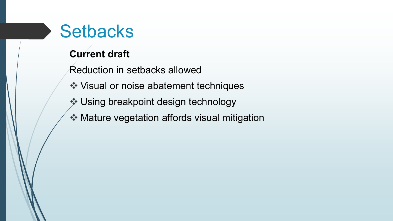#### **Current draft**

- Reduction in setbacks allowed
- **❖ Visual or noise abatement techniques**
- Using breakpoint design technology
- **❖ Mature vegetation affords visual mitigation**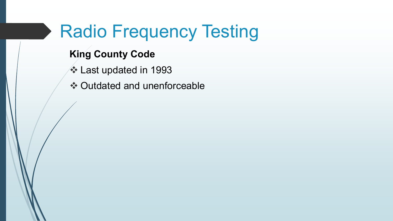### Radio Frequency Testing

#### **King County Code**

- **❖ Last updated in 1993**
- **❖ Outdated and unenforceable**